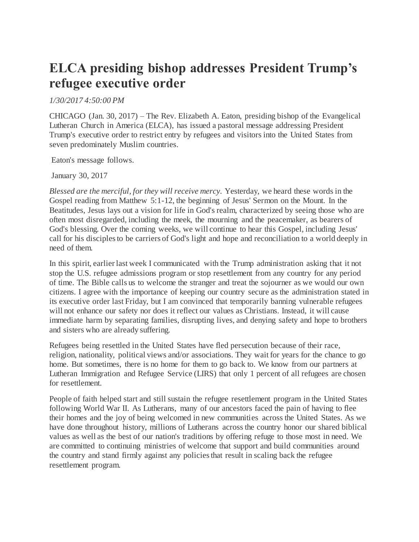## **ELCA presiding bishop addresses President Trump's refugee executive order**

*1/30/2017 4:50:00 PM*

CHICAGO (Jan. 30, 2017) – The Rev. Elizabeth A. Eaton, presiding bishop of the Evangelical Lutheran Church in America (ELCA), has issued a pastoral message addressing President Trump's executive order to restrict entry by refugees and visitors into the United States from seven predominately Muslim countries.

Eaton's message follows.

January 30, 2017

*Blessed are the merciful, for they will receive mercy.* Yesterday, we heard these words in the Gospel reading from Matthew 5:1-12, the beginning of Jesus' Sermon on the Mount. In the Beatitudes, Jesus lays out a vision for life in God's realm, characterized by seeing those who are often most disregarded, including the meek, the mourning and the peacemaker, as bearers of God's blessing. Over the coming weeks, we will continue to hear this Gospel, including Jesus' call for his disciples to be carriers of God's light and hope and reconciliation to a world deeply in need of them.

In this spirit, earlier last week I communicated with the Trump administration asking that it not stop the U.S. refugee admissions program or stop resettlement from any country for any period of time. The Bible calls us to welcome the stranger and treat the sojourner as we would our own citizens. I agree with the importance of keeping our country secure as the administration stated in its executive order last Friday, but I am convinced that temporarily banning vulnerable refugees will not enhance our safety nor does it reflect our values as Christians. Instead, it will cause immediate harm by separating families, disrupting lives, and denying safety and hope to brothers and sisters who are already suffering.

Refugees being resettled in the United States have fled persecution because of their race, religion, nationality, political views and/or associations. They wait for years for the chance to go home. But sometimes, there is no home for them to go back to. We know from our partners at Lutheran Immigration and Refugee Service (LIRS) that only 1 percent of all refugees are chosen for resettlement.

People of faith helped start and still sustain the refugee resettlement program in the United States following World War II. As Lutherans, many of our ancestors faced the pain of having to flee their homes and the joy of being welcomed in new communities across the United States. As we have done throughout history, millions of Lutherans across the country honor our shared biblical values as well as the best of our nation's traditions by offering refuge to those most in need. We are committed to continuing ministries of welcome that support and build communities around the country and stand firmly against any policies that result in scaling back the refugee resettlement program.